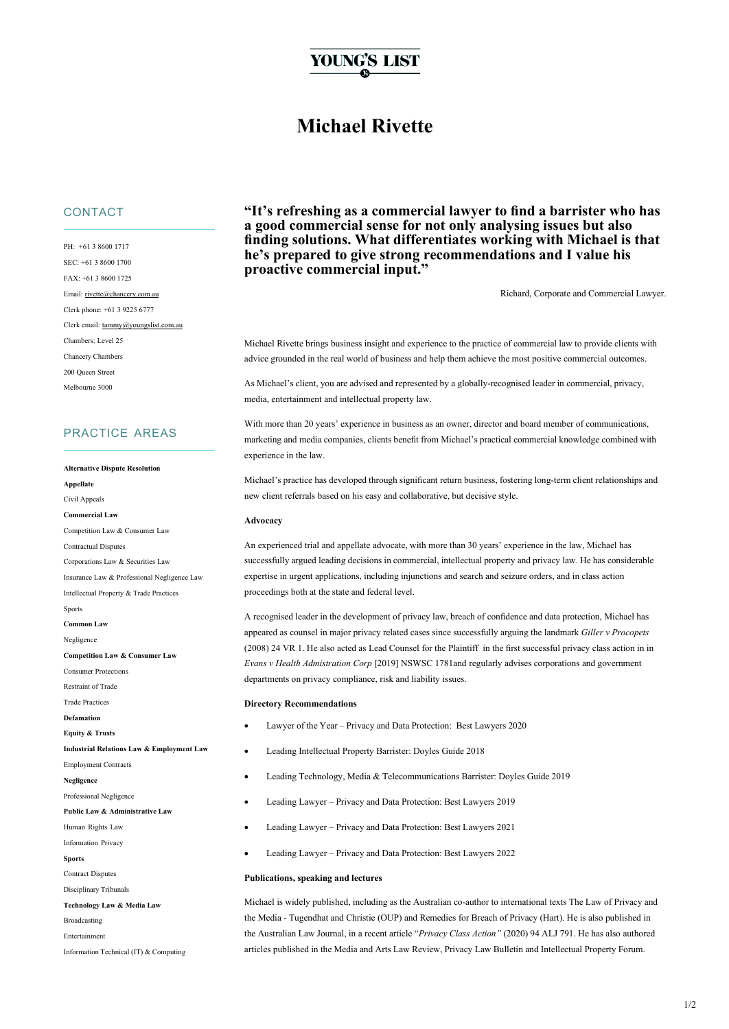# YOUNG'S LIST

## **Michael Rivette**

## **CONTACT**

PH: +61 3 8600 1717 SEC: +61 3 8600 1700 FAX: +61 3 8600 1725 Email: [rivette@chancery.com.au](mailto:rivette@chancery.com.au) Clerk phone: +61 3 9225 6777 Clerk email[: tammy@youngslist.com.au](mailto:tammy@youngslist.com.au) Chambers: Level 25 Chancery Chambers 200 Queen Street Melbourne 3000

## PRACTICE AREAS

#### **Alternative Dispute Resolution**

**Appellate** Civil Appeals **Commercial Law** Competition Law & Consumer Law Contractual Disputes Corporations Law & Securities Law Insurance Law & Professional Negligence Law Intellectual Property & Trade Practices Sports **Common Law** Negligence **Competition Law & Consumer Law** Consumer Protections Restraint of Trade Trade Practices **Defamation Equity & Trusts Industrial Relations Law & Employment Law** Employment Contracts **Negligence** Professional Negligence **Public Law & Administrative Law** Human Rights Law Information Privacy **Sports** Contract Disputes Disciplinary Tribunals **Technology Law & Media Law** Broadcasting Entertainmen Information Technical (IT) & Computing

**"It's refreshing as a commercial lawyer to find a barrister who has a good commercial sense for not only analysing issues but also finding solutions. What differentiates working with Michael is that he's prepared to give strong recommendations and I value his proactive commercial input."**

Richard, Corporate and Commercial Lawyer.

Michael Rivette brings business insight and experience to the practice of commercial law to provide clients with advice grounded in the real world of business and help them achieve the most positive commercial outcomes.

As Michael's client, you are advised and represented by a globally-recognised leader in commercial, privacy, media, entertainment and intellectual property law.

With more than 20 years' experience in business as an owner, director and board member of communications, marketing and media companies, clients benefit from Michael's practical commercial knowledge combined with experience in the law.

Michael's practice has developed through significant return business, fostering long-term client relationships and new client referrals based on his easy and collaborative, but decisive style.

#### **Advocacy**

An experienced trial and appellate advocate, with more than 30 years' experience in the law, Michael has successfully argued leading decisions in commercial, intellectual property and privacy law. He has considerable expertise in urgent applications, including injunctions and search and seizure orders, and in class action proceedings both at the state and federal level.

A recognised leader in the development of privacy law, breach of confidence and data protection, Michael has appeared as counsel in major privacy related cases since successfully arguing the landmark *Giller v Procopets* (2008) 24 VR 1. He also acted as Lead Counsel for the Plaintiff in the first successful privacy class action in in *Evans v Health Admistration Corp* [2019] NSWSC 1781and regularly advises corporations and government departments on privacy compliance, risk and liability issues.

#### **Directory Recommendations**

- Lawyer of the Year Privacy and Data Protection: Best Lawyers 2020
- Leading Intellectual Property Barrister: Doyles Guide 2018
- Leading Technology, Media & Telecommunications Barrister: Doyles Guide 2019
- Leading Lawyer Privacy and Data Protection: Best Lawyers 2019
- Leading Lawyer Privacy and Data Protection: Best Lawyers 2021
- Leading Lawyer Privacy and Data Protection: Best Lawyers 2022

#### **Publications, speaking and lectures**

Michael is widely published, including as the Australian co-author to international texts The Law of Privacy and the Media - Tugendhat and Christie (OUP) and Remedies for Breach of Privacy (Hart). He is also published in the Australian Law Journal, in a recent article "*Privacy Class Action"* (2020) 94 ALJ 791. He has also authored articles published in the Media and Arts Law Review, Privacy Law Bulletin and Intellectual Property Forum.